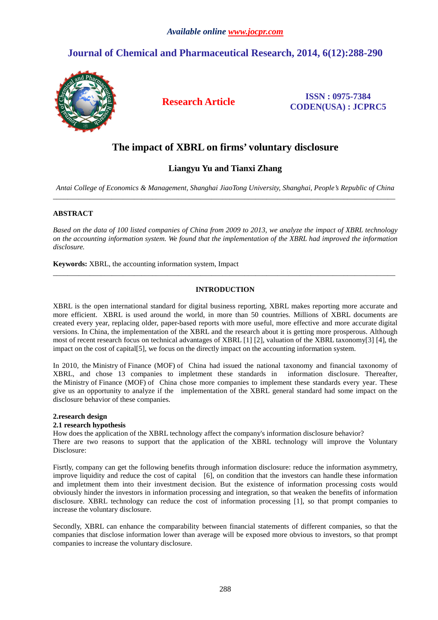# **Journal of Chemical and Pharmaceutical Research, 2014, 6(12):288-290**



**Research Article ISSN : 0975-7384 CODEN(USA) : JCPRC5**

## **The impact of XBRL on firms' voluntary disclosure**

## **Liangyu Yu and Tianxi Zhang**

*Antai College of Economics & Management, Shanghai JiaoTong University, Shanghai, People's Republic of China*  $\_$  ,  $\_$  ,  $\_$  ,  $\_$  ,  $\_$  ,  $\_$  ,  $\_$  ,  $\_$  ,  $\_$  ,  $\_$  ,  $\_$  ,  $\_$  ,  $\_$  ,  $\_$  ,  $\_$  ,  $\_$  ,  $\_$  ,  $\_$  ,  $\_$  ,  $\_$  ,  $\_$  ,  $\_$  ,  $\_$  ,  $\_$  ,  $\_$  ,  $\_$  ,  $\_$  ,  $\_$  ,  $\_$  ,  $\_$  ,  $\_$  ,  $\_$  ,  $\_$  ,  $\_$  ,  $\_$  ,  $\_$  ,  $\_$  ,

## **ABSTRACT**

*Based on the data of 100 listed companies of China from 2009 to 2013, we analyze the impact of XBRL technology on the accounting information system. We found that the implementation of the XBRL had improved the information disclosure.* 

**Keywords:** XBRL, the accounting information system, Impact

## **INTRODUCTION**

\_\_\_\_\_\_\_\_\_\_\_\_\_\_\_\_\_\_\_\_\_\_\_\_\_\_\_\_\_\_\_\_\_\_\_\_\_\_\_\_\_\_\_\_\_\_\_\_\_\_\_\_\_\_\_\_\_\_\_\_\_\_\_\_\_\_\_\_\_\_\_\_\_\_\_\_\_\_\_\_\_\_\_\_\_\_\_\_\_\_\_\_\_

XBRL is the open international standard for digital business reporting, XBRL makes reporting more accurate and more efficient. XBRL is used around the world, in more than 50 countries. Millions of XBRL documents are created every year, replacing older, paper-based reports with more useful, more effective and more accurate digital versions. In China, the implementation of the XBRL and the research about it is getting more prosperous. Although most of recent research focus on technical advantages of XBRL [1] [2], valuation of the XBRL taxonomy[3] [4], the impact on the cost of capital [5], we focus on the directly impact on the accounting information system.

In 2010, the Ministry of Finance (MOF) of China had issued the national taxonomy and financial taxonomy of XBRL, and chose 13 companies to impletment these standards in information disclosure. Thereafter, the Ministry of Finance (MOF) of China chose more companies to implement these standards every year. These give us an opportunity to analyze if the implementation of the XBRL general standard had some impact on the disclosure behavior of these companies.

#### **2.research design**

#### **2.1 research hypothesis**

How does the application of the XBRL technology affect the company's information disclosure behavior? There are two reasons to support that the application of the XBRL technology will improve the Voluntary Disclosure:

Fisrtly, company can get the following benefits through information disclosure: reduce the information asymmetry, improve liquidity and reduce the cost of capital [6], on condition that the investors can handle these information and impletment them into their investment decision. But the existence of information processing costs would obviously hinder the investors in information processing and integration, so that weaken the benefits of information disclosure. XBRL technology can reduce the cost of information processing [1], so that prompt companies to increase the voluntary disclosure.

Secondly, XBRL can enhance the comparability between financial statements of different companies, so that the companies that disclose information lower than average will be exposed more obvious to investors, so that prompt companies to increase the voluntary disclosure.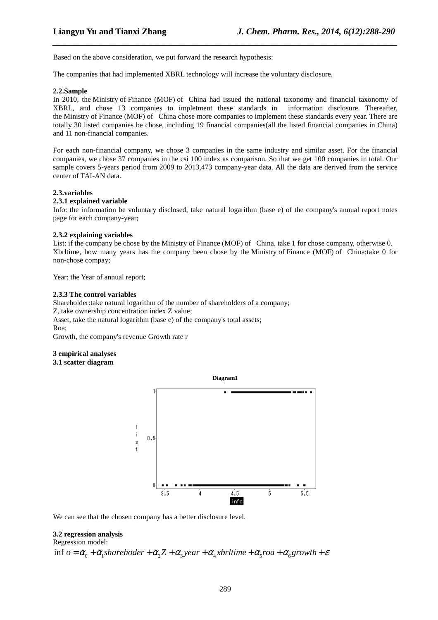Based on the above consideration, we put forward the research hypothesis:

The companies that had implemented XBRL technology will increase the voluntary disclosure.

#### **2.2.Sample**

In 2010, the Ministry of Finance (MOF) of China had issued the national taxonomy and financial taxonomy of XBRL, and chose 13 companies to impletment these standards in information disclosure. Thereafter, the Ministry of Finance (MOF) of China chose more companies to implement these standards every year. There are totally 30 listed companies be chose, including 19 financial companies(all the listed financial companies in China) and 11 non-financial companies.

*\_\_\_\_\_\_\_\_\_\_\_\_\_\_\_\_\_\_\_\_\_\_\_\_\_\_\_\_\_\_\_\_\_\_\_\_\_\_\_\_\_\_\_\_\_\_\_\_\_\_\_\_\_\_\_\_\_\_\_\_\_\_\_\_\_\_\_\_\_\_\_\_\_\_\_\_\_\_*

For each non-financial company, we chose 3 companies in the same industry and similar asset. For the financial companies, we chose 37 companies in the csi 100 index as comparison. So that we get 100 companies in total. Our sample covers 5-years period from 2009 to 2013,473 company-year data. All the data are derived from the service center of TAI-AN data.

#### **2.3.variables**

## **2.3.1 explained variable**

Info: the information be voluntary disclosed, take natural logarithm (base e) of the company's annual report notes page for each company-year;

#### **2.3.2 explaining variables**

List: if the company be chose by the Ministry of Finance (MOF) of China. take 1 for chose company, otherwise 0. Xbrltime, how many years has the company been chose by the Ministry of Finance (MOF) of China;take 0 for non-chose compay;

Year: the Year of annual report;

#### **2.3.3 The control variables**

Shareholder:take natural logarithm of the number of shareholders of a company; Z, take ownership concentration index Z value; Asset, take the natural logarithm (base e) of the company's total assets; Roa; Growth, the company's revenue Growth rate r

#### **3 empirical analyses**

#### **3.1 scatter diagram**



We can see that the chosen company has a better disclosure level.

#### **3.2 regression analysis**

#### Regression model:

inf  $o = \alpha_0 + \alpha_1$ sharehoder  $+\alpha_2 Z + \alpha_2 Y$  vear  $+\alpha_2 X$  white  $+\alpha_3 Y$  roa  $+\alpha_4 Y$  arouth  $+\varepsilon$